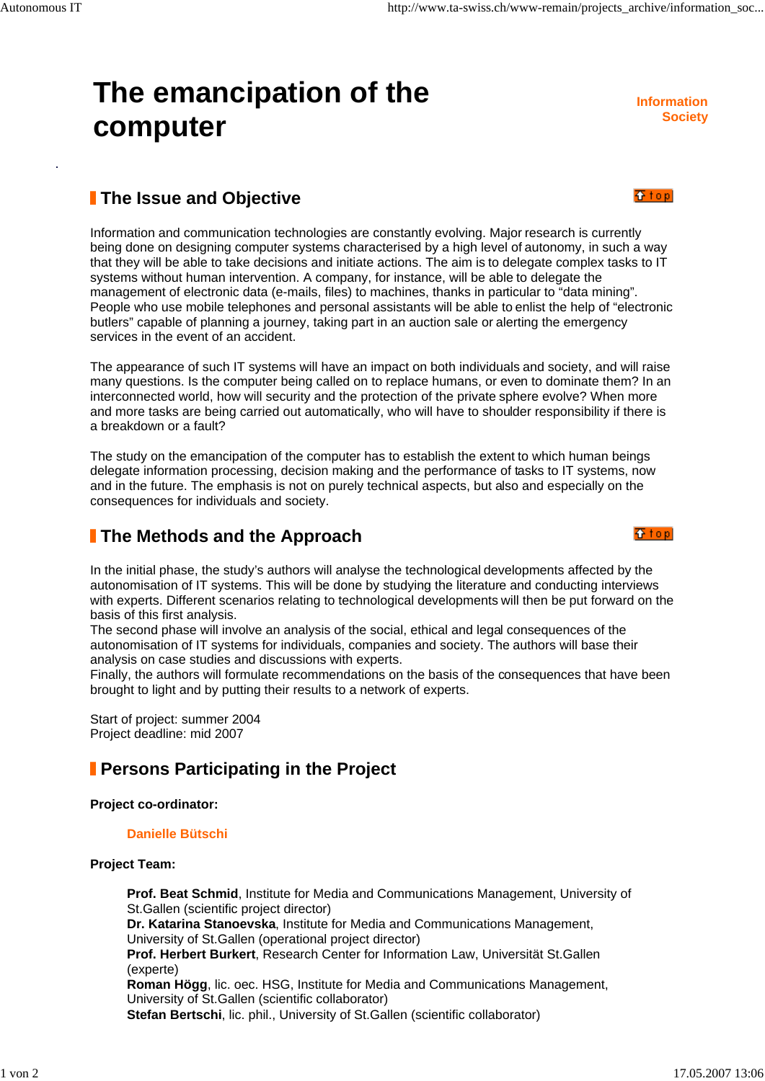# **The emancipation of the computer**

**Information Society**

香top

**G** top

# **The Issue and Objective**

Information and communication technologies are constantly evolving. Major research is currently being done on designing computer systems characterised by a high level of autonomy, in such a way that they will be able to take decisions and initiate actions. The aim is to delegate complex tasks to IT systems without human intervention. A company, for instance, will be able to delegate the management of electronic data (e-mails, files) to machines, thanks in particular to "data mining". People who use mobile telephones and personal assistants will be able to enlist the help of "electronic butlers" capable of planning a journey, taking part in an auction sale or alerting the emergency services in the event of an accident.

The appearance of such IT systems will have an impact on both individuals and society, and will raise many questions. Is the computer being called on to replace humans, or even to dominate them? In an interconnected world, how will security and the protection of the private sphere evolve? When more and more tasks are being carried out automatically, who will have to shoulder responsibility if there is a breakdown or a fault?

The study on the emancipation of the computer has to establish the extent to which human beings delegate information processing, decision making and the performance of tasks to IT systems, now and in the future. The emphasis is not on purely technical aspects, but also and especially on the consequences for individuals and society.

# **The Methods and the Approach**

In the initial phase, the study's authors will analyse the technological developments affected by the autonomisation of IT systems. This will be done by studying the literature and conducting interviews with experts. Different scenarios relating to technological developments will then be put forward on the basis of this first analysis.

The second phase will involve an analysis of the social, ethical and legal consequences of the autonomisation of IT systems for individuals, companies and society. The authors will base their analysis on case studies and discussions with experts.

Finally, the authors will formulate recommendations on the basis of the consequences that have been brought to light and by putting their results to a network of experts.

Start of project: summer 2004 Project deadline: mid 2007

# *I* Persons Participating in the Project

#### **Project co-ordinator:**

#### **Danielle Bütschi**

#### **Project Team:**

**Prof. Beat Schmid**, Institute for Media and Communications Management, University of St.Gallen (scientific project director) **Dr. Katarina Stanoevska**, Institute for Media and Communications Management, University of St.Gallen (operational project director) **Prof. Herbert Burkert**, Research Center for Information Law, Universität St.Gallen (experte) **Roman Högg**, lic. oec. HSG, Institute for Media and Communications Management, University of St.Gallen (scientific collaborator) **Stefan Bertschi**, lic. phil., University of St.Gallen (scientific collaborator)